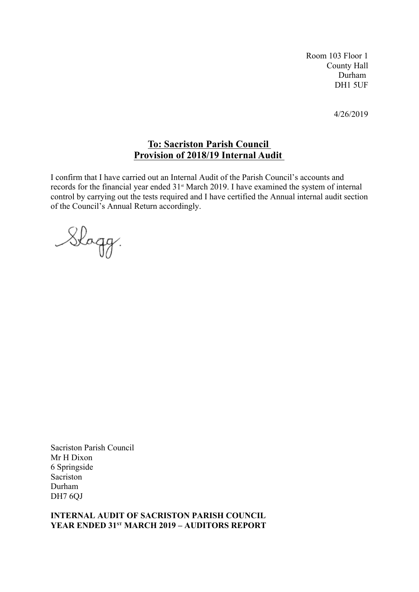Room 103 Floor 1 County Hall Durham DH1 5UF

4/26/2019

# **To: Sacriston Parish Council Provision of 2018/19 Internal Audit**

I confirm that I have carried out an Internal Audit of the Parish Council's accounts and records for the financial year ended 31<sup>st</sup> March 2019. I have examined the system of internal control by carrying out the tests required and I have certified the Annual internal audit section of the Council's Annual Return accordingly.

Slagg.

Sacriston Parish Council Mr H Dixon 6 Springside Sacriston Durham DH7 6QJ

#### **INTERNAL AUDIT OF SACRISTON PARISH COUNCIL YEAR ENDED 31ST MARCH 2019 – AUDITORS REPORT**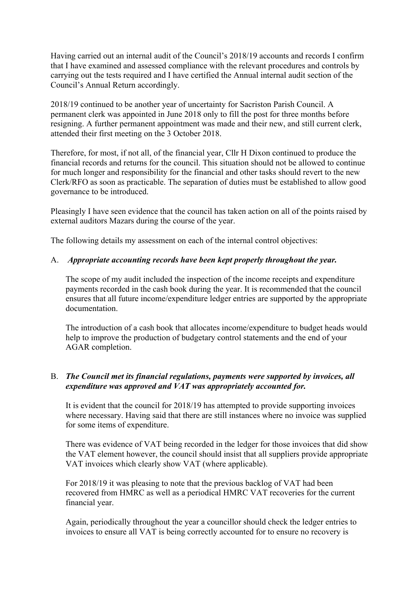Having carried out an internal audit of the Council's 2018/19 accounts and records I confirm that I have examined and assessed compliance with the relevant procedures and controls by carrying out the tests required and I have certified the Annual internal audit section of the Council's Annual Return accordingly.

2018/19 continued to be another year of uncertainty for Sacriston Parish Council. A permanent clerk was appointed in June 2018 only to fill the post for three months before resigning. A further permanent appointment was made and their new, and still current clerk, attended their first meeting on the 3 October 2018.

Therefore, for most, if not all, of the financial year, Cllr H Dixon continued to produce the financial records and returns for the council. This situation should not be allowed to continue for much longer and responsibility for the financial and other tasks should revert to the new Clerk/RFO as soon as practicable. The separation of duties must be established to allow good governance to be introduced.

Pleasingly I have seen evidence that the council has taken action on all of the points raised by external auditors Mazars during the course of the year.

The following details my assessment on each of the internal control objectives:

#### A. *Appropriate accounting records have been kept properly throughout the year.*

The scope of my audit included the inspection of the income receipts and expenditure payments recorded in the cash book during the year. It is recommended that the council ensures that all future income/expenditure ledger entries are supported by the appropriate documentation.

The introduction of a cash book that allocates income/expenditure to budget heads would help to improve the production of budgetary control statements and the end of your AGAR completion.

# B. *The Council met its financial regulations, payments were supported by invoices, all expenditure was approved and VAT was appropriately accounted for.*

It is evident that the council for 2018/19 has attempted to provide supporting invoices where necessary. Having said that there are still instances where no invoice was supplied for some items of expenditure.

There was evidence of VAT being recorded in the ledger for those invoices that did show the VAT element however, the council should insist that all suppliers provide appropriate VAT invoices which clearly show VAT (where applicable).

For 2018/19 it was pleasing to note that the previous backlog of VAT had been recovered from HMRC as well as a periodical HMRC VAT recoveries for the current financial year.

Again, periodically throughout the year a councillor should check the ledger entries to invoices to ensure all VAT is being correctly accounted for to ensure no recovery is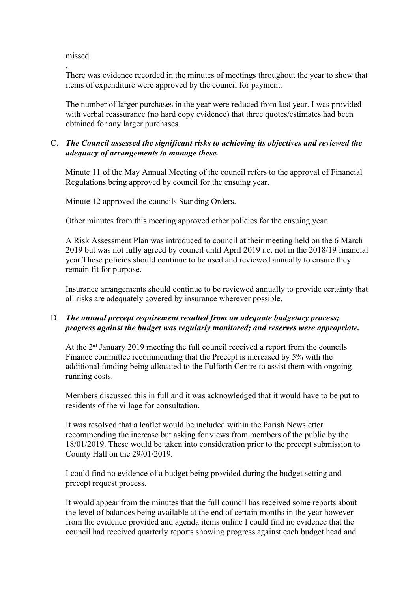#### missed

.There was evidence recorded in the minutes of meetings throughout the year to show that items of expenditure were approved by the council for payment.

The number of larger purchases in the year were reduced from last year. I was provided with verbal reassurance (no hard copy evidence) that three quotes/estimates had been obtained for any larger purchases.

### C. *The Council assessed the significant risks to achieving its objectives and reviewed the adequacy of arrangements to manage these.*

Minute 11 of the May Annual Meeting of the council refers to the approval of Financial Regulations being approved by council for the ensuing year.

Minute 12 approved the councils Standing Orders.

Other minutes from this meeting approved other policies for the ensuing year.

A Risk Assessment Plan was introduced to council at their meeting held on the 6 March 2019 but was not fully agreed by council until April 2019 i.e. not in the 2018/19 financial year.These policies should continue to be used and reviewed annually to ensure they remain fit for purpose.

Insurance arrangements should continue to be reviewed annually to provide certainty that all risks are adequately covered by insurance wherever possible.

#### D. *The annual precept requirement resulted from an adequate budgetary process; progress against the budget was regularly monitored; and reserves were appropriate.*

At the  $2<sup>nd</sup>$  January 2019 meeting the full council received a report from the councils Finance committee recommending that the Precept is increased by 5% with the additional funding being allocated to the Fulforth Centre to assist them with ongoing running costs.

Members discussed this in full and it was acknowledged that it would have to be put to residents of the village for consultation.

It was resolved that a leaflet would be included within the Parish Newsletter recommending the increase but asking for views from members of the public by the 18/01/2019. These would be taken into consideration prior to the precept submission to County Hall on the 29/01/2019.

I could find no evidence of a budget being provided during the budget setting and precept request process.

It would appear from the minutes that the full council has received some reports about the level of balances being available at the end of certain months in the year however from the evidence provided and agenda items online I could find no evidence that the council had received quarterly reports showing progress against each budget head and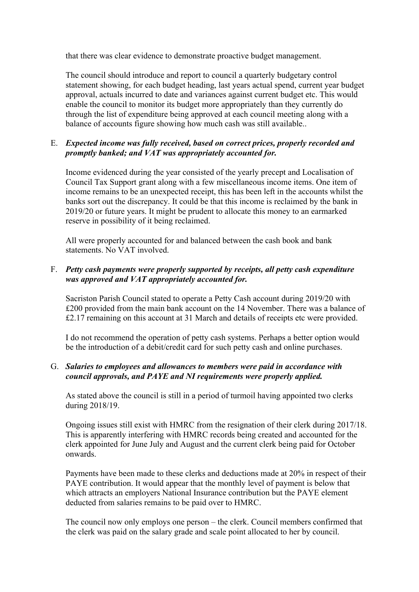that there was clear evidence to demonstrate proactive budget management.

The council should introduce and report to council a quarterly budgetary control statement showing, for each budget heading, last years actual spend, current year budget approval, actuals incurred to date and variances against current budget etc. This would enable the council to monitor its budget more appropriately than they currently do through the list of expenditure being approved at each council meeting along with a balance of accounts figure showing how much cash was still available..

# E. *Expected income was fully received, based on correct prices, properly recorded and promptly banked; and VAT was appropriately accounted for.*

Income evidenced during the year consisted of the yearly precept and Localisation of Council Tax Support grant along with a few miscellaneous income items. One item of income remains to be an unexpected receipt, this has been left in the accounts whilst the banks sort out the discrepancy. It could be that this income is reclaimed by the bank in 2019/20 or future years. It might be prudent to allocate this money to an earmarked reserve in possibility of it being reclaimed.

All were properly accounted for and balanced between the cash book and bank statements. No VAT involved.

### F. *Petty cash payments were properly supported by receipts, all petty cash expenditure was approved and VAT appropriately accounted for.*

Sacriston Parish Council stated to operate a Petty Cash account during 2019/20 with £200 provided from the main bank account on the 14 November. There was a balance of £2.17 remaining on this account at 31 March and details of receipts etc were provided.

I do not recommend the operation of petty cash systems. Perhaps a better option would be the introduction of a debit/credit card for such petty cash and online purchases.

# G. *Salaries to employees and allowances to members were paid in accordance with council approvals, and PAYE and NI requirements were properly applied.*

As stated above the council is still in a period of turmoil having appointed two clerks during 2018/19.

Ongoing issues still exist with HMRC from the resignation of their clerk during 2017/18. This is apparently interfering with HMRC records being created and accounted for the clerk appointed for June July and August and the current clerk being paid for October onwards.

Payments have been made to these clerks and deductions made at 20% in respect of their PAYE contribution. It would appear that the monthly level of payment is below that which attracts an employers National Insurance contribution but the PAYE element deducted from salaries remains to be paid over to HMRC.

The council now only employs one person – the clerk. Council members confirmed that the clerk was paid on the salary grade and scale point allocated to her by council.